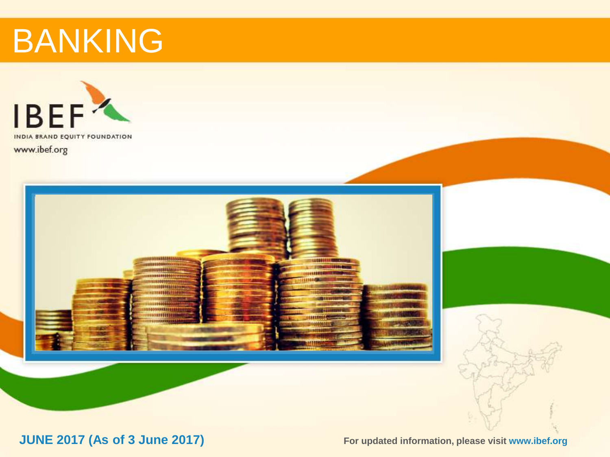



**JUNE 2017 (As of 3 June 2017) Example 2018** For updated information, please visit www.ibef.org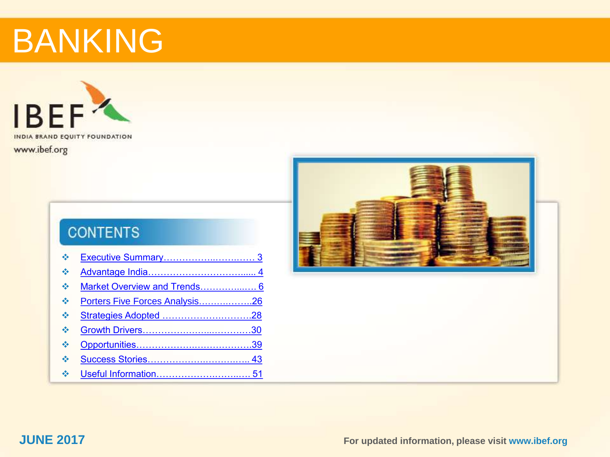

### **CONTENTS**

| $\mathcal{L}$                        |                                |  |
|--------------------------------------|--------------------------------|--|
| $\frac{1}{2}$                        |                                |  |
| $\frac{1}{2}$                        | Market Overview and Trends 6   |  |
| $\mathcal{L}_{\mathcal{S}}$          | Porters Five Forces Analysis26 |  |
| $\mathcal{L}_{\mathcal{S}}$          |                                |  |
| $\frac{1}{2}$                        |                                |  |
| $\frac{1}{2}$                        |                                |  |
| $\frac{1}{2}$                        |                                |  |
| $\mathcal{A}^{\bullet}_{\mathbf{a}}$ |                                |  |



**JUNE 2017 For updated information, please visit www.ibef.org 2**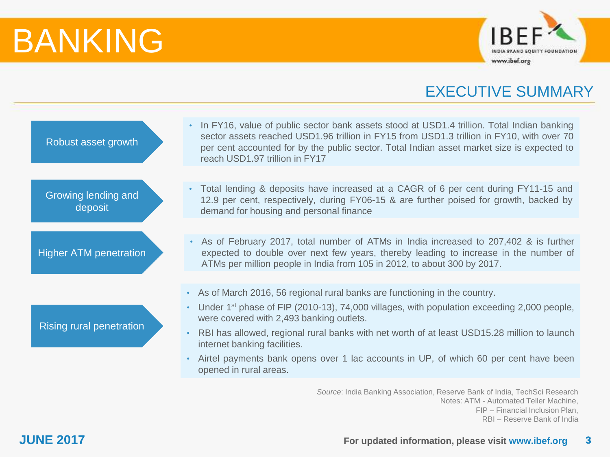

### EXECUTIVE SUMMARY

<span id="page-2-0"></span>

| Robust asset growth            | In FY16, value of public sector bank assets stood at USD1.4 trillion. Total Indian banking<br>sector assets reached USD1.96 trillion in FY15 from USD1.3 trillion in FY10, with over 70<br>per cent accounted for by the public sector. Total Indian asset market size is expected to<br>reach USD1.97 trillion in FY17 |
|--------------------------------|-------------------------------------------------------------------------------------------------------------------------------------------------------------------------------------------------------------------------------------------------------------------------------------------------------------------------|
|                                |                                                                                                                                                                                                                                                                                                                         |
| Growing lending and<br>deposit | • Total lending & deposits have increased at a CAGR of 6 per cent during FY11-15 and<br>12.9 per cent, respectively, during FY06-15 & are further poised for growth, backed by<br>demand for housing and personal finance                                                                                               |
|                                |                                                                                                                                                                                                                                                                                                                         |
| <b>Higher ATM penetration</b>  | • As of February 2017, total number of ATMs in India increased to 207,402 & is further<br>expected to double over next few years, thereby leading to increase in the number of<br>ATMs per million people in India from 105 in 2012, to about 300 by 2017.                                                              |
|                                |                                                                                                                                                                                                                                                                                                                         |
|                                | • As of March 2016, 56 regional rural banks are functioning in the country.                                                                                                                                                                                                                                             |
|                                | • Under 1 <sup>st</sup> phase of FIP (2010-13), 74,000 villages, with population exceeding 2,000 people,<br>were covered with 2,493 banking outlets.                                                                                                                                                                    |
| Rising rural penetration       | RBI has allowed, regional rural banks with net worth of at least USD15.28 million to launch<br>$\bullet$<br>internet banking facilities.                                                                                                                                                                                |
|                                | Airtel payments bank opens over 1 lac accounts in UP, of which 60 per cent have been<br>$\bullet$<br>opened in rural areas.                                                                                                                                                                                             |
|                                | Saurea: India Ranking Accoriation, Recenya Rank of India, TechSci Recearch                                                                                                                                                                                                                                              |

*Source*: India Banking Association, Reserve Bank of India, TechSci Research Notes: ATM - Automated Teller Machine, FIP – Financial Inclusion Plan, RBI – Reserve Bank of India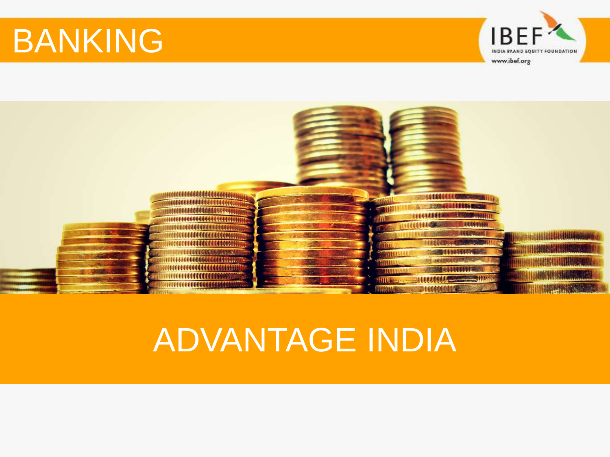

<span id="page-3-0"></span>

## ADVANTAGE INDIA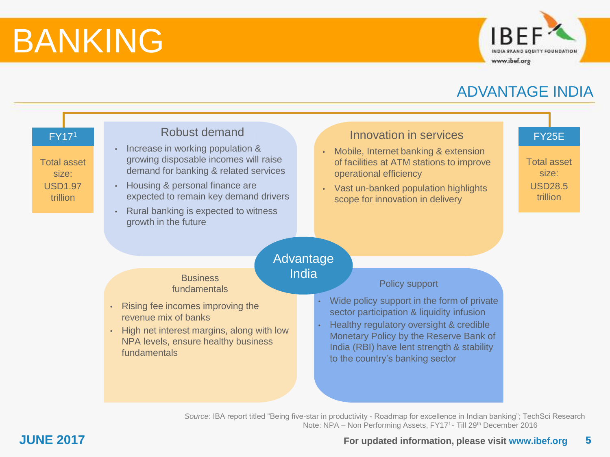

### ADVANTAGE INDIA



### **JUNE 2017 5 For updated information, please visit www.ibef.org**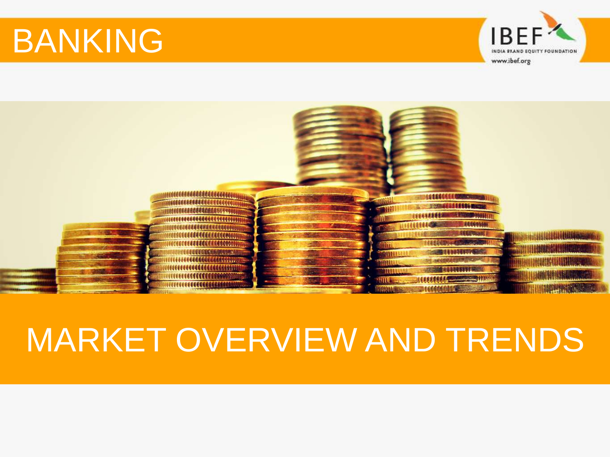

<span id="page-5-0"></span>

## MARKET OVERVIEW AND TRENDS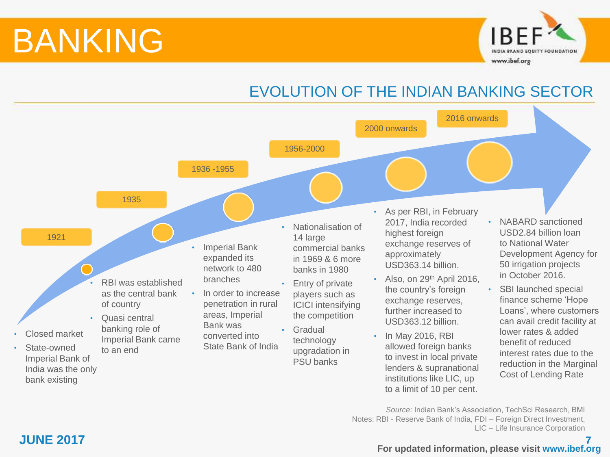

## EVOLUTION OF THE INDIAN BANKING SECTOR



*Source*: Indian Bank's Association, TechSci Research, BMI Notes: RBI - Reserve Bank of India, FDI – Foreign Direct Investment, LIC – Life Insurance Corporation

### **JUNE 2017 7 For updated information, please visit www.ibef.org**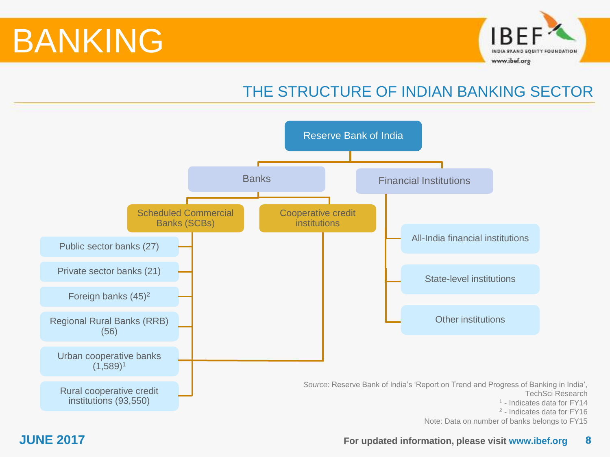

## THE STRUCTURE OF INDIAN BANKING SECTOR



### **JUNE 2017 For updated information, please visit www.ibef.org 8**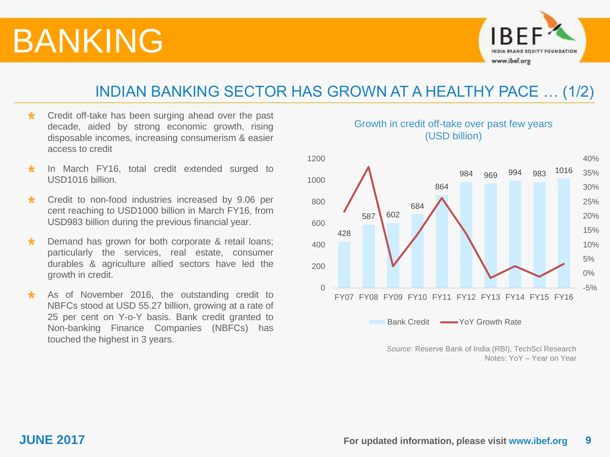

### INDIAN BANKING SECTOR HAS GROWN AT A HEALTHY PACE … (1/2)

- Credit off-take has been surging ahead over the past  $\star$ decade, aided by strong economic growth, rising disposable incomes, increasing consumerism & easier access to credit
- In March FY16, total credit extended surged to  $\star$ USD1016 billion.
- Credit to non-food industries increased by 9.06 per  $\star$ cent reaching to USD1000 billion in March FY16, from USD983 billion during the previous financial year.
- $\star$ Demand has grown for both corporate & retail loans; particularly the services, real estate, consumer durables & agriculture allied sectors have led the growth in credit.
- As of November 2016, the outstanding credit to  $\star$ NBFCs stood at USD 55.27 billion, growing at a rate of 25 per cent on Y-o-Y basis. Bank credit granted to Non-banking Finance Companies (NBFCs) has touched the highest in 3 years.



Growth in credit off-take over past few years (USD billion)

> *Source*: Reserve Bank of India (RBI), TechSci Research Notes: YoY – Year on Year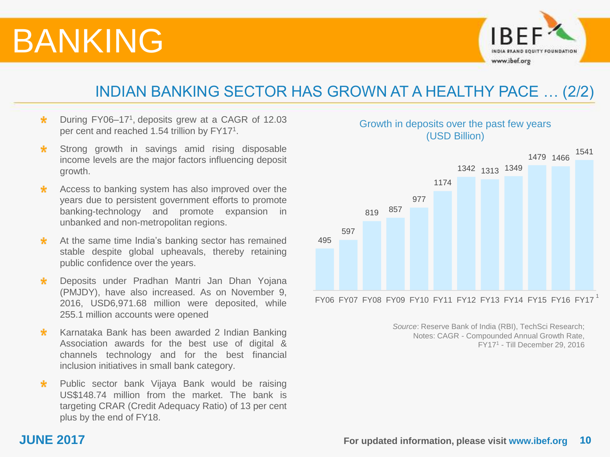

### INDIAN BANKING SECTOR HAS GROWN AT A HEALTHY PACE … (2/2)

- During FY06-17<sup>1</sup>, deposits grew at a CAGR of 12.03 \* per cent and reached 1.54 trillion by FY17<sup>1</sup>.
- Strong growth in savings amid rising disposable \*. income levels are the major factors influencing deposit growth.
- Access to banking system has also improved over the  $\star$ years due to persistent government efforts to promote banking-technology and promote expansion in unbanked and non-metropolitan regions.
- At the same time India's banking sector has remained  $\star$ stable despite global upheavals, thereby retaining public confidence over the years.
- Deposits under Pradhan Mantri Jan Dhan Yojana  $\star$ (PMJDY), have also increased. As on November 9, 2016, USD6,971.68 million were deposited, while 255.1 million accounts were opened
- Karnataka Bank has been awarded 2 Indian Banking  $\star$ Association awards for the best use of digital & channels technology and for the best financial inclusion initiatives in small bank category.
- Public sector bank Vijaya Bank would be raising  $\star$ US\$148.74 million from the market. The bank is targeting CRAR (Credit Adequacy Ratio) of 13 per cent plus by the end of FY18.



*Source*: Reserve Bank of India (RBI), TechSci Research; Notes: CAGR - Compounded Annual Growth Rate, FY17<sup>1</sup> - Till December 29, 2016

### Growth in deposits over the past few years (USD Billion)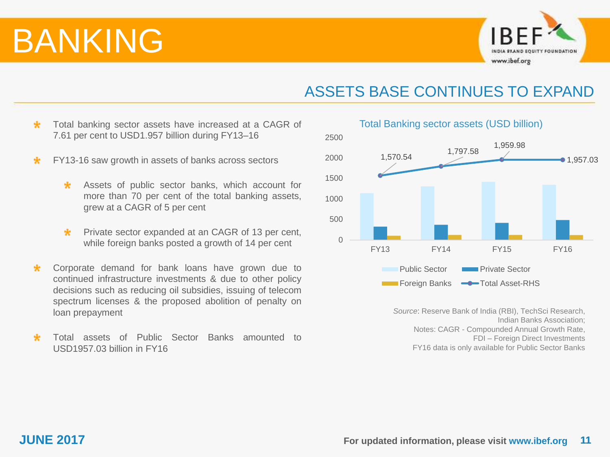

### ASSETS BASE CONTINUES TO EXPAND

- $\star$ Total banking sector assets have increased at a CAGR of 7.61 per cent to USD1.957 billion during FY13–16
- FY13-16 saw growth in assets of banks across sectors  $\star$ 
	- Assets of public sector banks, which account for ÷ more than 70 per cent of the total banking assets, grew at a CAGR of 5 per cent
	- Private sector expanded at an CAGR of 13 per cent,  $\star$ while foreign banks posted a growth of 14 per cent
- Corporate demand for bank loans have grown due to  $\star$ continued infrastructure investments & due to other policy decisions such as reducing oil subsidies, issuing of telecom spectrum licenses & the proposed abolition of penalty on loan prepayment
- Total assets of Public Sector Banks amounted to USD1957.03 billion in FY16



*Source*: Reserve Bank of India (RBI), TechSci Research, Indian Banks Association; Notes: CAGR - Compounded Annual Growth Rate, FDI – Foreign Direct Investments FY16 data is only available for Public Sector Banks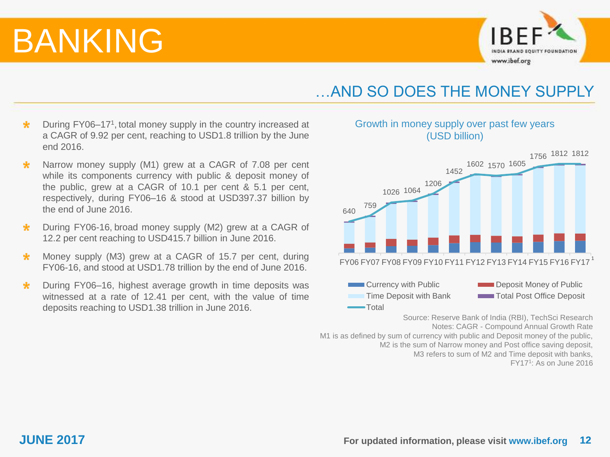

### …AND SO DOES THE MONEY SUPPLY

Growth in money supply over past few years (USD billion)

- During FY06-17<sup>1</sup>, total money supply in the country increased at  $\star$ a CAGR of 9.92 per cent, reaching to USD1.8 trillion by the June end 2016.
- Narrow money supply (M1) grew at a CAGR of 7.08 per cent  $\star$ while its components currency with public & deposit money of the public, grew at a CAGR of 10.1 per cent & 5.1 per cent, respectively, during FY06–16 & stood at USD397.37 billion by the end of June 2016.
- During FY06-16, broad money supply (M2) grew at a CAGR of  $\star$ 12.2 per cent reaching to USD415.7 billion in June 2016.
- Money supply (M3) grew at a CAGR of 15.7 per cent, during  $\star$ FY06-16, and stood at USD1.78 trillion by the end of June 2016.
- $\star$ During FY06–16, highest average growth in time deposits was witnessed at a rate of 12.41 per cent, with the value of time deposits reaching to USD1.38 trillion in June 2016.



Source: Reserve Bank of India (RBI), TechSci Research Notes: CAGR - Compound Annual Growth Rate

M1 is as defined by sum of currency with public and Deposit money of the public, M2 is the sum of Narrow money and Post office saving deposit, M3 refers to sum of M2 and Time deposit with banks,

FY17<sup>1</sup> : As on June 2016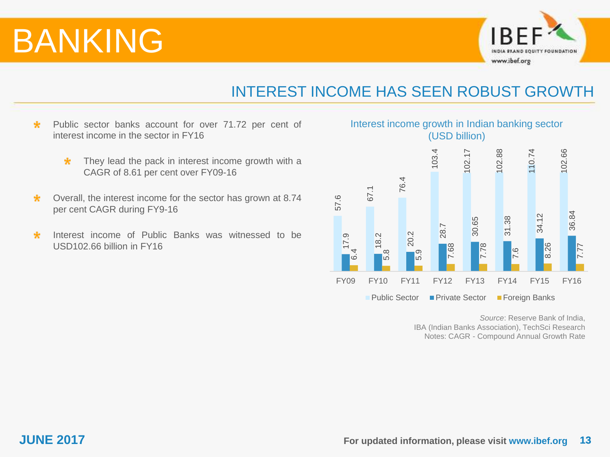

### INTEREST INCOME HAS SEEN ROBUST GROWTH

- $\star$ Public sector banks account for over 71.72 per cent of interest income in the sector in FY16
	- $\star$ They lead the pack in interest income growth with a CAGR of 8.61 per cent over FY09-16
- Overall, the interest income for the sector has grown at 8.74  $\star$ per cent CAGR during FY9-16
- Interest income of Public Banks was witnessed to be  $\star$ USD102.66 billion in FY16

### Interest income growth in Indian banking sector (USD billion)



*Source*: Reserve Bank of India, IBA (Indian Banks Association), TechSci Research Notes: CAGR - Compound Annual Growth Rate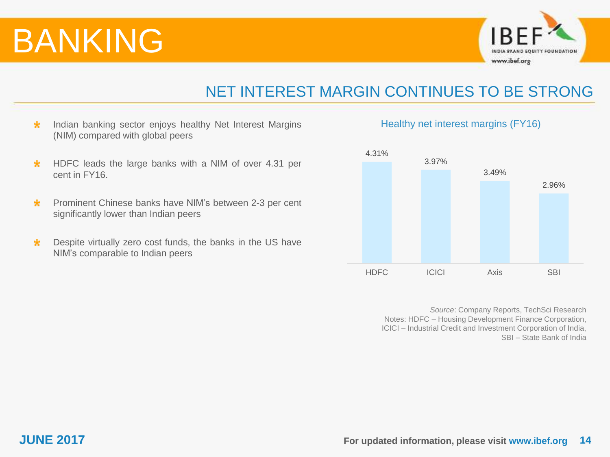

### NET INTEREST MARGIN CONTINUES TO BE STRONG

- $\star$ Indian banking sector enjoys healthy Net Interest Margins (NIM) compared with global peers
- HDFC leads the large banks with a NIM of over 4.31 per  $\star$ cent in FY16.
- $\star$ Prominent Chinese banks have NIM's between 2-3 per cent significantly lower than Indian peers
- $\star$ Despite virtually zero cost funds, the banks in the US have NIM's comparable to Indian peers

### Healthy net interest margins (FY16)



*Source*: Company Reports, TechSci Research Notes: HDFC – Housing Development Finance Corporation, ICICI – Industrial Credit and Investment Corporation of India, SBI – State Bank of India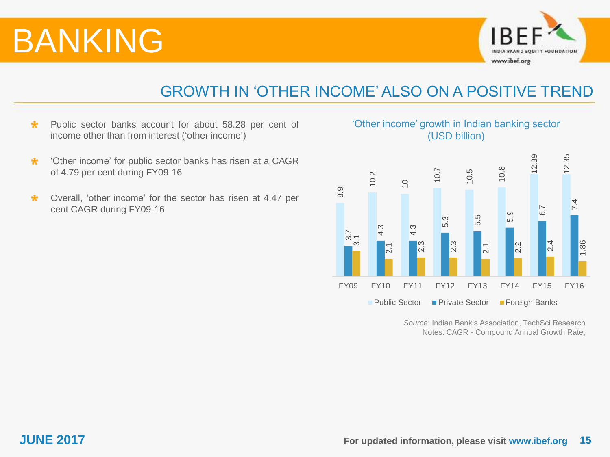

### GROWTH IN 'OTHER INCOME' ALSO ON A POSITIVE TREND

- Public sector banks account for about 58.28 per cent of  $\star$ income other than from interest ('other income')
- $\star$ 'Other income' for public sector banks has risen at a CAGR of 4.79 per cent during FY09-16
- Overall, 'other income' for the sector has risen at 4.47 per  $\star$ cent CAGR during FY09-16

### 'Other income' growth in Indian banking sector (USD billion)



*Source*: Indian Bank's Association, TechSci Research Notes: CAGR - Compound Annual Growth Rate,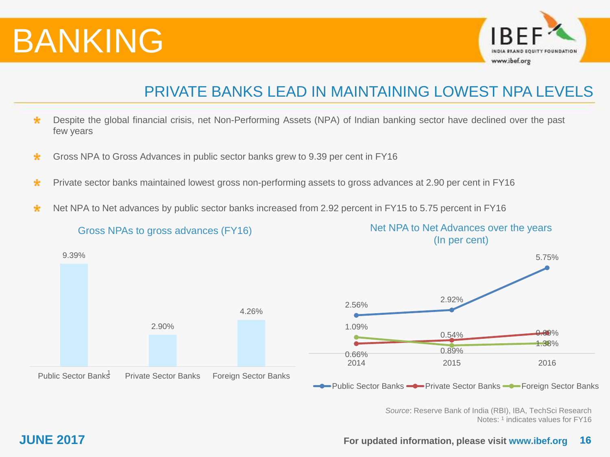

### PRIVATE BANKS LEAD IN MAINTAINING LOWEST NPA LEVELS

- $\star$ Despite the global financial crisis, net Non-Performing Assets (NPA) of Indian banking sector have declined over the past few years
- Gross NPA to Gross Advances in public sector banks grew to 9.39 per cent in FY16  $\star$
- Private sector banks maintained lowest gross non-performing assets to gross advances at 2.90 per cent in FY16  $\star$
- Net NPA to Net advances by public sector banks increased from 2.92 percent in FY15 to 5.75 percent in FY16  $\star$



**JUNE 2017 For updated information, please visit www.ibef.org 16**

Notes: <sup>1</sup> indicates values for FY16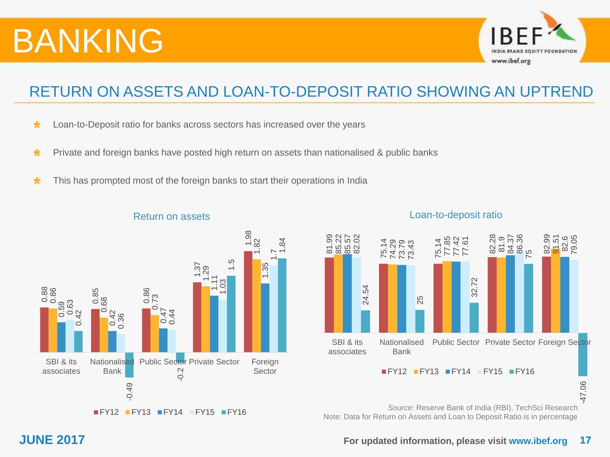

## RETURN ON ASSETS AND LOAN-TO-DEPOSIT RATIO SHOWING AN UPTREND

- $\star$ Loan-to-Deposit ratio for banks across sectors has increased over the years
- Private and foreign banks have posted high return on assets than nationalised & public banks  $\star$
- $\star$ This has prompted most of the foreign banks to start their operations in India



### Return on assets

Loan-to-deposit ratio



*Source*: Reserve Bank of India (RBI), TechSci Research Note: Data for Return on Assets and Loan to Deposit Ratio is in percentage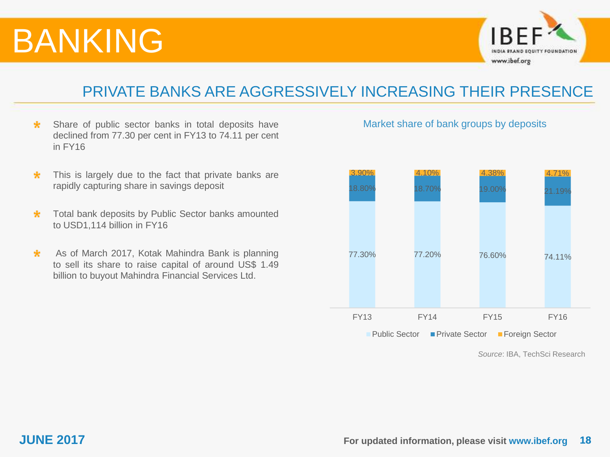

### PRIVATE BANKS ARE AGGRESSIVELY INCREASING THEIR PRESENCE

- $\star$ Share of public sector banks in total deposits have declined from 77.30 per cent in FY13 to 74.11 per cent in FY16
- $\star$ This is largely due to the fact that private banks are rapidly capturing share in savings deposit
- Total bank deposits by Public Sector banks amounted  $\star$ to USD1,114 billion in FY16
- $\star$ As of March 2017, Kotak Mahindra Bank is planning to sell its share to raise capital of around US\$ 1.49 billion to buyout Mahindra Financial Services Ltd.

Market share of bank groups by deposits



*Source*: IBA, TechSci Research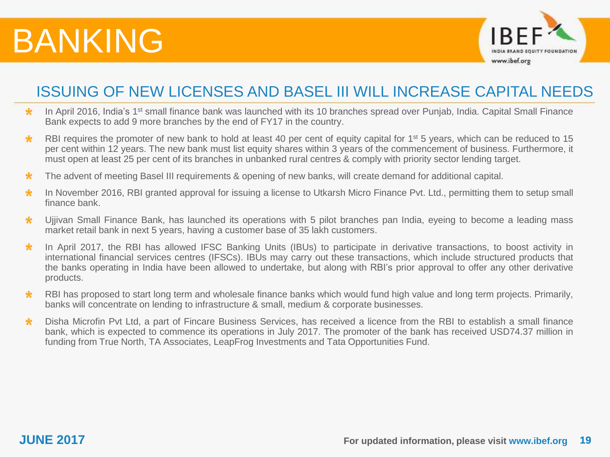

### ISSUING OF NEW LICENSES AND BASEL III WILL INCREASE CAPITAL NEEDS

- In April 2016, India's 1<sup>st</sup> small finance bank was launched with its 10 branches spread over Punjab, India. Capital Small Finance  $\star$ Bank expects to add 9 more branches by the end of FY17 in the country.
- $\star$ RBI requires the promoter of new bank to hold at least 40 per cent of equity capital for 1<sup>st</sup> 5 years, which can be reduced to 15 per cent within 12 years. The new bank must list equity shares within 3 years of the commencement of business. Furthermore, it must open at least 25 per cent of its branches in unbanked rural centres & comply with priority sector lending target.
- The advent of meeting Basel III requirements & opening of new banks, will create demand for additional capital.  $\star$
- $\star$ In November 2016, RBI granted approval for issuing a license to Utkarsh Micro Finance Pvt. Ltd., permitting them to setup small finance bank.
- Ujjivan Small Finance Bank, has launched its operations with 5 pilot branches pan India, eyeing to become a leading mass  $\star$ market retail bank in next 5 years, having a customer base of 35 lakh customers.
- In April 2017, the RBI has allowed IFSC Banking Units (IBUs) to participate in derivative transactions, to boost activity in  $\star$ international financial services centres (IFSCs). IBUs may carry out these transactions, which include structured products that the banks operating in India have been allowed to undertake, but along with RBI's prior approval to offer any other derivative products.
- $\star$ RBI has proposed to start long term and wholesale finance banks which would fund high value and long term projects. Primarily, banks will concentrate on lending to infrastructure & small, medium & corporate businesses.
- Disha Microfin Pvt Ltd, a part of Fincare Business Services, has received a licence from the RBI to establish a small finance  $\star$ bank, which is expected to commence its operations in July 2017. The promoter of the bank has received USD74.37 million in funding from True North, TA Associates, LeapFrog Investments and Tata Opportunities Fund.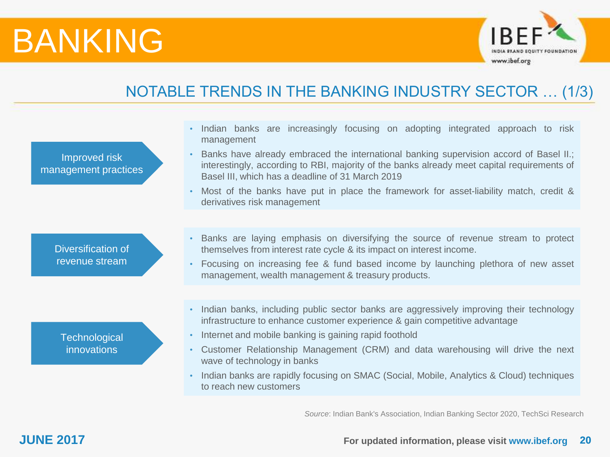

## NOTABLE TRENDS IN THE BANKING INDUSTRY SECTOR … (1/3)

| Improved risk<br>management practices | Indian banks are increasingly focusing on adopting integrated approach to risk<br>management<br>Banks have already embraced the international banking supervision accord of Basel II.;<br>interestingly, according to RBI, majority of the banks already meet capital requirements of<br>Basel III, which has a deadline of 31 March 2019<br>Most of the banks have put in place the framework for asset-liability match, credit &<br>derivatives risk management            |
|---------------------------------------|------------------------------------------------------------------------------------------------------------------------------------------------------------------------------------------------------------------------------------------------------------------------------------------------------------------------------------------------------------------------------------------------------------------------------------------------------------------------------|
| Diversification of<br>revenue stream  | • Banks are laying emphasis on diversifying the source of revenue stream to protect<br>themselves from interest rate cycle & its impact on interest income.<br>Focusing on increasing fee & fund based income by launching plethora of new asset<br>management, wealth management & treasury products.                                                                                                                                                                       |
| Technological<br>innovations          | • Indian banks, including public sector banks are aggressively improving their technology<br>infrastructure to enhance customer experience & gain competitive advantage<br>• Internet and mobile banking is gaining rapid foothold<br>Customer Relationship Management (CRM) and data warehousing will drive the next<br>wave of technology in banks<br>• Indian banks are rapidly focusing on SMAC (Social, Mobile, Analytics & Cloud) techniques<br>to reach new customers |

*Source*: Indian Bank's Association, Indian Banking Sector 2020, TechSci Research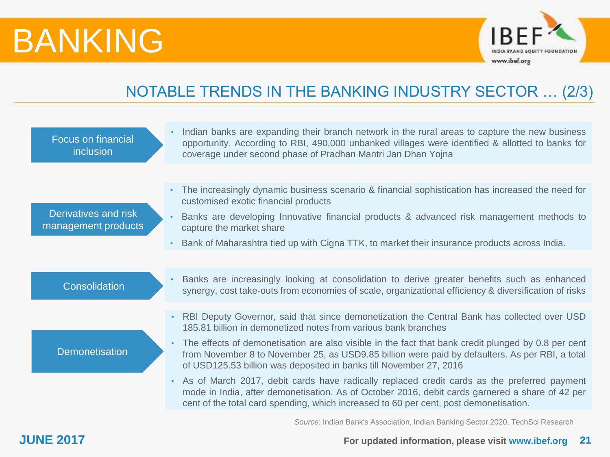

## NOTABLE TRENDS IN THE BANKING INDUSTRY SECTOR … (2/3)

| <b>Focus on financial</b><br>inclusion      |           | Indian banks are expanding their branch network in the rural areas to capture the new business<br>opportunity. According to RBI, 490,000 unbanked villages were identified & allotted to banks for<br>coverage under second phase of Pradhan Mantri Jan Dhan Yojna                      |
|---------------------------------------------|-----------|-----------------------------------------------------------------------------------------------------------------------------------------------------------------------------------------------------------------------------------------------------------------------------------------|
|                                             |           |                                                                                                                                                                                                                                                                                         |
|                                             | $\bullet$ | The increasingly dynamic business scenario & financial sophistication has increased the need for<br>customised exotic financial products                                                                                                                                                |
| Derivatives and risk<br>management products |           | Banks are developing Innovative financial products & advanced risk management methods to<br>capture the market share                                                                                                                                                                    |
|                                             | $\bullet$ | Bank of Maharashtra tied up with Cigna TTK, to market their insurance products across India.                                                                                                                                                                                            |
|                                             |           |                                                                                                                                                                                                                                                                                         |
| Consolidation                               |           | Banks are increasingly looking at consolidation to derive greater benefits such as enhanced<br>synergy, cost take-outs from economies of scale, organizational efficiency & diversification of risks                                                                                    |
|                                             |           |                                                                                                                                                                                                                                                                                         |
|                                             |           | RBI Deputy Governor, said that since demonetization the Central Bank has collected over USD<br>185.81 billion in demonetized notes from various bank branches                                                                                                                           |
| <b>Demonetisation</b>                       |           | The effects of demonetisation are also visible in the fact that bank credit plunged by 0.8 per cent<br>from November 8 to November 25, as USD9.85 billion were paid by defaulters. As per RBI, a total<br>of USD125.53 billion was deposited in banks till November 27, 2016            |
|                                             |           | As of March 2017, debit cards have radically replaced credit cards as the preferred payment<br>mode in India, after demonetisation. As of October 2016, debit cards garnered a share of 42 per<br>cent of the total card spending, which increased to 60 per cent, post demonetisation. |
|                                             |           | CONTRACTOR AND ARREST AND A LOCAL CONTRACTOR                                                                                                                                                                                                                                            |

*Source*: Indian Bank's Association, Indian Banking Sector 2020, TechSci Research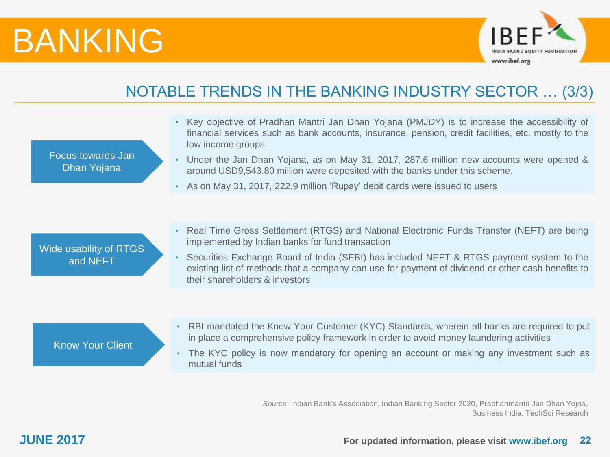

## NOTABLE TRENDS IN THE BANKING INDUSTRY SECTOR … (3/3)

| Focus towards Jan<br>Dhan Yojana   | Key objective of Pradhan Mantri Jan Dhan Yojana (PMJDY) is to increase the accessibility of<br>$\bullet$<br>financial services such as bank accounts, insurance, pension, credit facilities, etc. mostly to the<br>low income groups.<br>Under the Jan Dhan Yojana, as on May 31, 2017, 287.6 million new accounts were opened &<br>$\bullet$<br>around USD9,543.80 million were deposited with the banks under this scheme.<br>As on May 31, 2017, 222.9 million 'Rupay' debit cards were issued to users<br>$\bullet$ |
|------------------------------------|-------------------------------------------------------------------------------------------------------------------------------------------------------------------------------------------------------------------------------------------------------------------------------------------------------------------------------------------------------------------------------------------------------------------------------------------------------------------------------------------------------------------------|
| Wide usability of RTGS<br>and NEFT | Real Time Gross Settlement (RTGS) and National Electronic Funds Transfer (NEFT) are being<br>$\bullet$<br>implemented by Indian banks for fund transaction<br>Securities Exchange Board of India (SEBI) has included NEFT & RTGS payment system to the<br>$\bullet$<br>existing list of methods that a company can use for payment of dividend or other cash benefits to<br>their shareholders & investors                                                                                                              |
| <b>Know Your Client</b>            | RBI mandated the Know Your Customer (KYC) Standards, wherein all banks are required to put<br>$\bullet$<br>in place a comprehensive policy framework in order to avoid money laundering activities<br>The KYC policy is now mandatory for opening an account or making any investment such as<br>mutual funds                                                                                                                                                                                                           |

*Source*: Indian Bank's Association, Indian Banking Sector 2020, Pradhanmantri Jan Dhan Yojna, Business India, TechSci Research

### **JUNE 2017 For updated information, please visit www.ibef.org 22**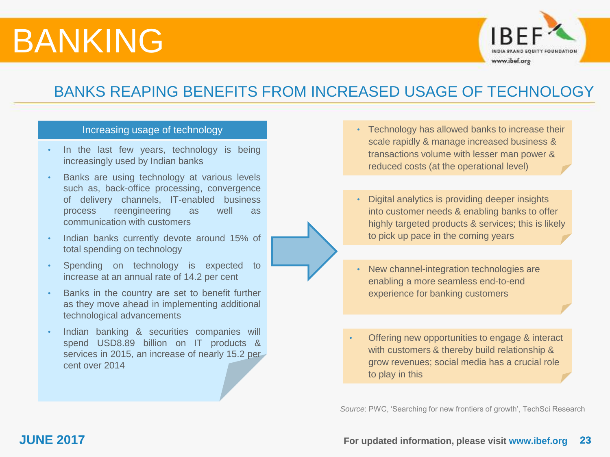

### BANKS REAPING BENEFITS FROM INCREASED USAGE OF TECHNOLOGY

### Increasing usage of technology

- In the last few years, technology is being increasingly used by Indian banks
- Banks are using technology at various levels such as, back-office processing, convergence of delivery channels, IT-enabled business process reengineering as well as communication with customers
- Indian banks currently devote around 15% of total spending on technology
- Spending on technology is expected to increase at an annual rate of 14.2 per cent
- Banks in the country are set to benefit further as they move ahead in implementing additional technological advancements
- Indian banking & securities companies will spend USD8.89 billion on IT products & services in 2015, an increase of nearly 15.2 per cent over 2014
- Technology has allowed banks to increase their scale rapidly & manage increased business & transactions volume with lesser man power & reduced costs (at the operational level)
- Digital analytics is providing deeper insights into customer needs & enabling banks to offer highly targeted products & services; this is likely to pick up pace in the coming years
- New channel-integration technologies are enabling a more seamless end-to-end experience for banking customers
- Offering new opportunities to engage & interact with customers & thereby build relationship & grow revenues; social media has a crucial role to play in this

*Source*: PWC, 'Searching for new frontiers of growth', TechSci Research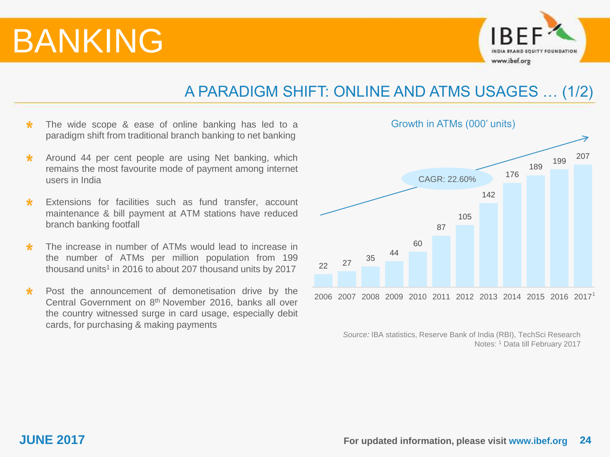

### A PARADIGM SHIFT: ONLINE AND ATMS USAGES … (1/2)

- $\star$ The wide scope & ease of online banking has led to a paradigm shift from traditional branch banking to net banking
- $\star$ Around 44 per cent people are using Net banking, which remains the most favourite mode of payment among internet users in India
- $\star$ Extensions for facilities such as fund transfer, account maintenance & bill payment at ATM stations have reduced branch banking footfall
- $\star$ The increase in number of ATMs would lead to increase in the number of ATMs per million population from 199 thousand units<sup>1</sup> in 2016 to about 207 thousand units by 2017
- $\star$ Post the announcement of demonetisation drive by the Central Government on 8<sup>th</sup> November 2016, banks all over the country witnessed surge in card usage, especially debit cards, for purchasing & making payments



*Source:* IBA statistics, Reserve Bank of India (RBI), TechSci Research Notes: <sup>1</sup> Data till February 2017

Growth in ATMs (000' units)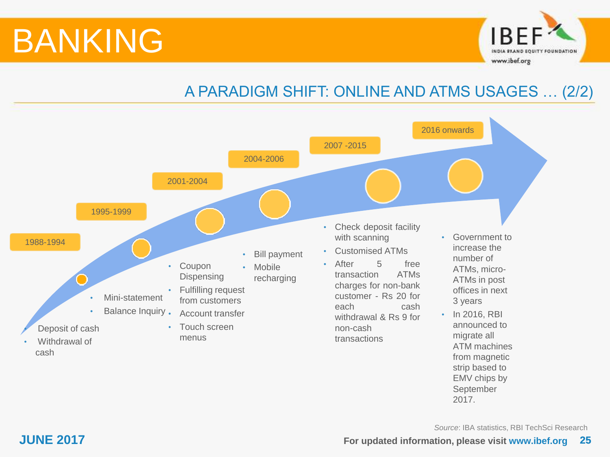

## A PARADIGM SHIFT: ONLINE AND ATMS USAGES … (2/2)



*Source*: IBA statistics, RBI TechSci Research

2017.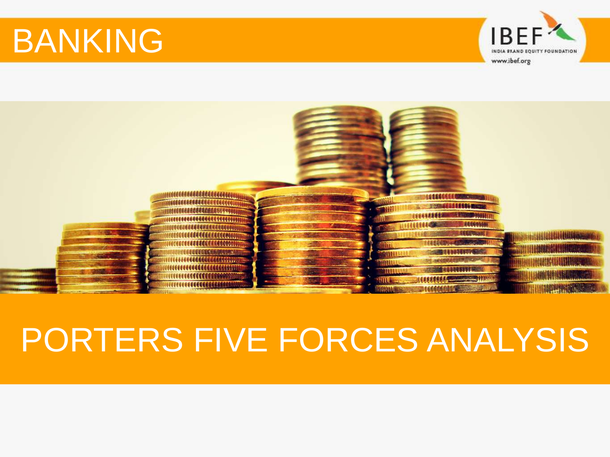

<span id="page-25-0"></span>

# PORTERS FIVE FORCES ANALYSIS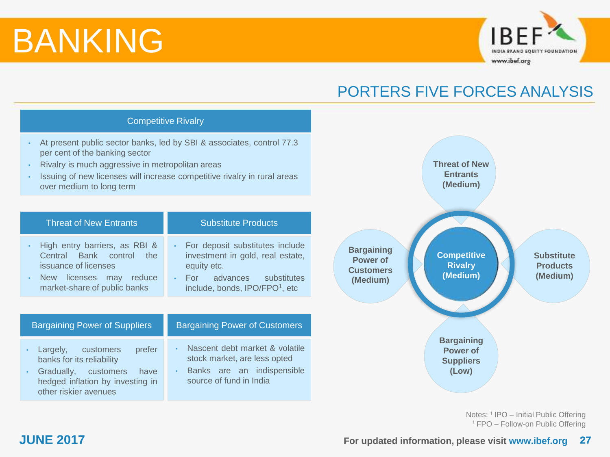

### PORTERS FIVE FORCES ANALYSIS

### **Competitive Rivalry (Medium) Threat of New Entrants (Medium) Bargaining Power of Customers (Medium) Bargaining Power of Suppliers (Low)** Competitive Rivalry • At present public sector banks, led by SBI & associates, control 77.3 per cent of the banking sector • Rivalry is much aggressive in metropolitan areas • Issuing of new licenses will increase competitive rivalry in rural areas over medium to long term Threat of New Entrants **New Entrants** Substitute Products Bargaining Power of Suppliers **Bargaining Power of Customers** • High entry barriers, as RBI & Central Bank control the issuance of licenses • New licenses may reduce market-share of public banks • Largely, customers prefer banks for its reliability • Gradually, customers have hedged inflation by investing in other riskier avenues • Nascent debt market & volatile stock market, are less opted Banks are an indispensible source of fund in India For deposit substitutes include investment in gold, real estate, equity etc. • For advances substitutes include, bonds, IPO/FPO<sup>1</sup>, etc

Notes: <sup>1</sup>IPO – Initial Public Offering <sup>1</sup>FPO – Follow-on Public Offering

**Substitute Products (Medium)**

### **JUNE 2017 For updated information, please visit www.ibef.org 27**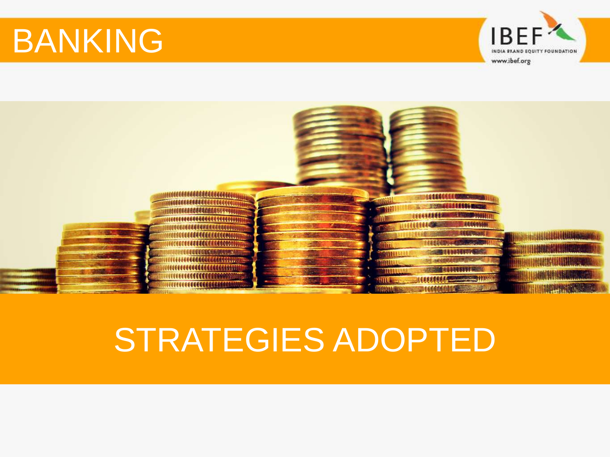

<span id="page-27-0"></span>

## STRATEGIES ADOPTED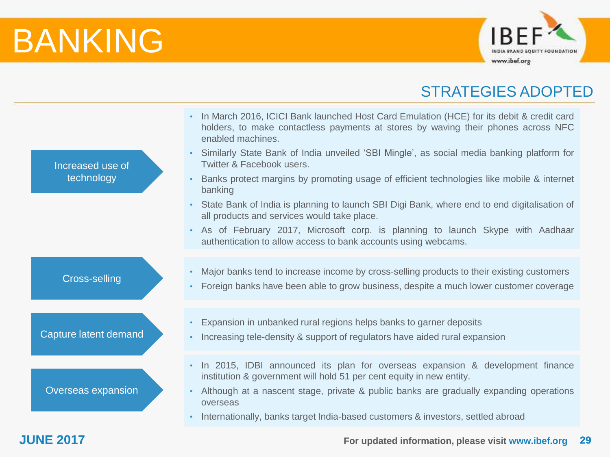

### STRATEGIES ADOPTED

|                       | In March 2016, ICICI Bank launched Host Card Emulation (HCE) for its debit & credit card<br>$\bullet$<br>holders, to make contactless payments at stores by waving their phones across NFC<br>enabled machines. |
|-----------------------|-----------------------------------------------------------------------------------------------------------------------------------------------------------------------------------------------------------------|
| Increased use of      | Similarly State Bank of India unveiled 'SBI Mingle', as social media banking platform for<br>$\bullet$<br>Twitter & Facebook users.                                                                             |
| technology            | Banks protect margins by promoting usage of efficient technologies like mobile & internet<br>$\bullet$<br>banking                                                                                               |
|                       | State Bank of India is planning to launch SBI Digi Bank, where end to end digitalisation of<br>$\bullet$<br>all products and services would take place.                                                         |
|                       | • As of February 2017, Microsoft corp. is planning to launch Skype with Aadhaar<br>authentication to allow access to bank accounts using webcams.                                                               |
|                       |                                                                                                                                                                                                                 |
| <b>Cross-selling</b>  | Major banks tend to increase income by cross-selling products to their existing customers<br>$\bullet$<br>Foreign banks have been able to grow business, despite a much lower customer coverage<br>$\bullet$    |
|                       |                                                                                                                                                                                                                 |
| Capture latent demand | Expansion in unbanked rural regions helps banks to garner deposits<br>$\bullet$<br>Increasing tele-density & support of regulators have aided rural expansion<br>$\bullet$                                      |
|                       | In 2015, IDBI announced its plan for overseas expansion & development finance<br>$\bullet$                                                                                                                      |
|                       | institution & government will hold 51 per cent equity in new entity.                                                                                                                                            |
| Overseas expansion    | Although at a nascent stage, private & public banks are gradually expanding operations<br>$\bullet$<br>overseas                                                                                                 |
|                       | Internationally, banks target India-based customers & investors, settled abroad<br>$\bullet$                                                                                                                    |

### **JUNE 2017 For updated information, please visit www.ibef.org 29**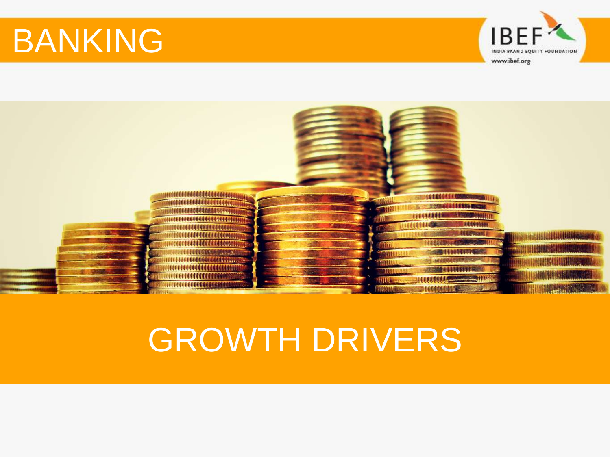

<span id="page-29-0"></span>

# GROWTH DRIVERS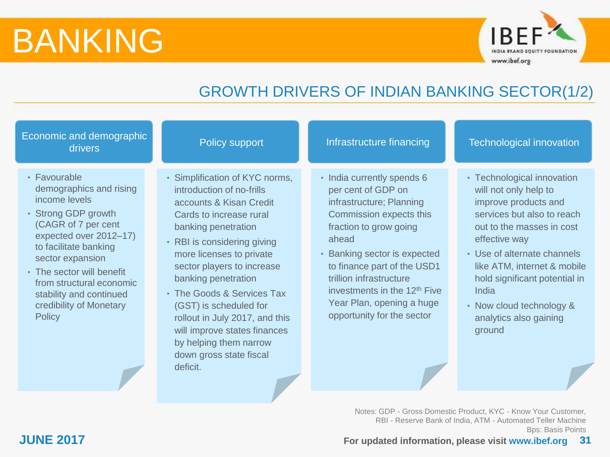

## GROWTH DRIVERS OF INDIAN BANKING SECTOR(1/2)

| Economic and demographic<br>drivers                                                                                                                                                                                                                                                                           | Policy support                                                                                                                                                                                                                                                                                                                                                                                                                                      | Infrastructure financing                                                                                                                                                                                                                                                                                                                    | <b>Technological innovation</b>                                                                                                                                                                                                                                                                                                 |
|---------------------------------------------------------------------------------------------------------------------------------------------------------------------------------------------------------------------------------------------------------------------------------------------------------------|-----------------------------------------------------------------------------------------------------------------------------------------------------------------------------------------------------------------------------------------------------------------------------------------------------------------------------------------------------------------------------------------------------------------------------------------------------|---------------------------------------------------------------------------------------------------------------------------------------------------------------------------------------------------------------------------------------------------------------------------------------------------------------------------------------------|---------------------------------------------------------------------------------------------------------------------------------------------------------------------------------------------------------------------------------------------------------------------------------------------------------------------------------|
| • Favourable<br>demographics and rising<br>income levels<br>• Strong GDP growth<br>(CAGR of 7 per cent<br>expected over 2012-17)<br>to facilitate banking<br>sector expansion<br>• The sector will benefit<br>from structural economic<br>stability and continued<br>credibility of Monetary<br><b>Policy</b> | • Simplification of KYC norms,<br>introduction of no-frills<br>accounts & Kisan Credit<br>Cards to increase rural<br>banking penetration<br>• RBI is considering giving<br>more licenses to private<br>sector players to increase<br>banking penetration<br>• The Goods & Services Tax<br>(GST) is scheduled for<br>rollout in July 2017, and this<br>will improve states finances<br>by helping them narrow<br>down gross state fiscal<br>deficit. | • India currently spends 6<br>per cent of GDP on<br>infrastructure; Planning<br>Commission expects this<br>fraction to grow going<br>ahead<br>• Banking sector is expected<br>to finance part of the USD1<br>trillion infrastructure<br>investments in the 12 <sup>th</sup> Five<br>Year Plan, opening a huge<br>opportunity for the sector | • Technological innovation<br>will not only help to<br>improve products and<br>services but also to reach<br>out to the masses in cost<br>effective way<br>• Use of alternate channels<br>like ATM, internet & mobile<br>hold significant potential in<br>India<br>• Now cloud technology &<br>analytics also gaining<br>ground |

Notes: GDP - Gross Domestic Product, KYC - Know Your Customer, RBI - Reserve Bank of India, ATM - Automated Teller Machine Bps: Basis Points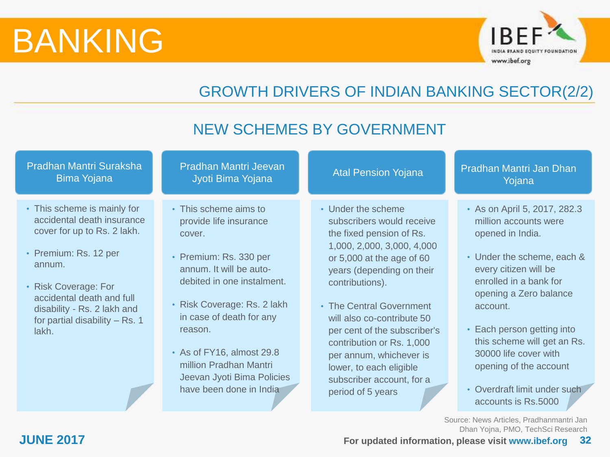

## GROWTH DRIVERS OF INDIAN BANKING SECTOR(2/2)

### Pradhan Mantri Suraksha Bima Yojana Pradhan Mantri Jeevan adhan Mantri Jeevan Atal Pension Yojana Pradhan Mantri Jan Dhan<br>Jyoti Bima Yojana Pradhan Mantri Jan Dhan Yojana • This scheme is mainly for accidental death insurance cover for up to Rs. 2 lakh. • Premium: Rs. 12 per annum. • Risk Coverage: For accidental death and full disability - Rs. 2 lakh and for partial disability – Rs. 1 lakh. • This scheme aims to provide life insurance cover. • Premium: Rs. 330 per annum. It will be autodebited in one instalment. • Risk Coverage: Rs. 2 lakh in case of death for any reason. • As of FY16, almost 29.8 million Pradhan Mantri Jeevan Jyoti Bima Policies have been done in India • Under the scheme subscribers would receive the fixed pension of Rs. 1,000, 2,000, 3,000, 4,000 or 5,000 at the age of 60 years (depending on their contributions). • The Central Government will also co-contribute 50 per cent of the subscriber's contribution or Rs. 1,000 per annum, whichever is lower, to each eligible subscriber account, for a period of 5 years • As on April 5, 2017, 282.3 million accounts were opened in India. • Under the scheme, each & every citizen will be enrolled in a bank for opening a Zero balance account. • Each person getting into this scheme will get an Rs. 30000 life cover with opening of the account • Overdraft limit under such accounts is Rs.5000 NEW SCHEMES BY GOVERNMENT

Source: News Articles, Pradhanmantri Jan Dhan Yojna, PMO, TechSci Research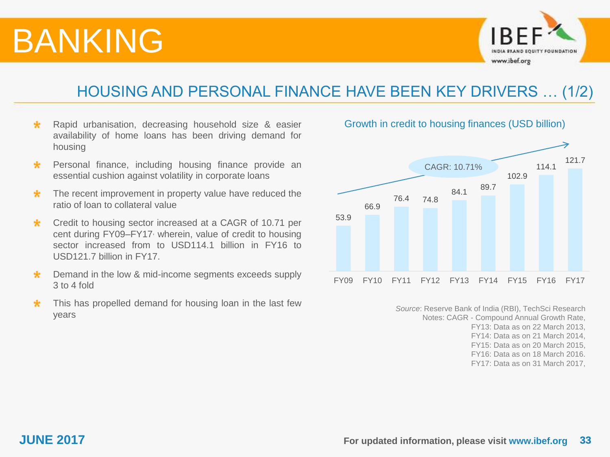

### HOUSING AND PERSONAL FINANCE HAVE BEEN KEY DRIVERS … (1/2)

- Rapid urbanisation, decreasing household size & easier  $\star$ availability of home loans has been driving demand for housing
- Personal finance, including housing finance provide an  $\star$ essential cushion against volatility in corporate loans
- The recent improvement in property value have reduced the  $\star$ ratio of loan to collateral value
- Credit to housing sector increased at a CAGR of 10.71 per  $\star$ cent during FY09–FY17, wherein, value of credit to housing sector increased from to USD114.1 billion in FY16 to USD121.7 billion in FY17.
- Demand in the low & mid-income segments exceeds supply ÷ 3 to 4 fold
- This has propelled demand for housing loan in the last few  $\star$ years



*Source*: Reserve Bank of India (RBI), TechSci Research Notes: CAGR - Compound Annual Growth Rate, FY13: Data as on 22 March 2013, FY14: Data as on 21 March 2014, FY15: Data as on 20 March 2015, FY16: Data as on 18 March 2016. FY17: Data as on 31 March 2017,

### Growth in credit to housing finances (USD billion)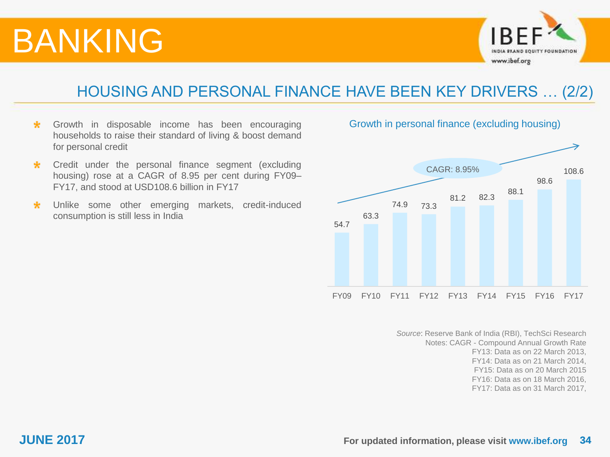

### HOUSING AND PERSONAL FINANCE HAVE BEEN KEY DRIVERS … (2/2)

- $\star$ Growth in disposable income has been encouraging households to raise their standard of living & boost demand for personal credit
- Credit under the personal finance segment (excluding  $\star$ housing) rose at a CAGR of 8.95 per cent during FY09– FY17, and stood at USD108.6 billion in FY17
- Unlike some other emerging markets, credit-induced  $\star$ consumption is still less in India



*Source*: Reserve Bank of India (RBI), TechSci Research Notes: CAGR - Compound Annual Growth Rate FY13: Data as on 22 March 2013, FY14: Data as on 21 March 2014, FY15: Data as on 20 March 2015 FY16: Data as on 18 March 2016, FY17: Data as on 31 March 2017,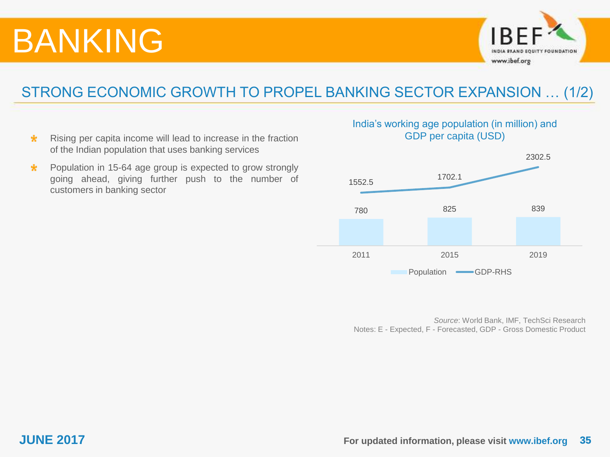

### STRONG ECONOMIC GROWTH TO PROPEL BANKING SECTOR EXPANSION … (1/2)

- Rising per capita income will lead to increase in the fraction  $\star$ of the Indian population that uses banking services
- $\ast$ Population in 15-64 age group is expected to grow strongly going ahead, giving further push to the number of customers in banking sector

### India's working age population (in million) and GDP per capita (USD)



*Source*: World Bank, IMF, TechSci Research Notes: E - Expected, F - Forecasted, GDP - Gross Domestic Product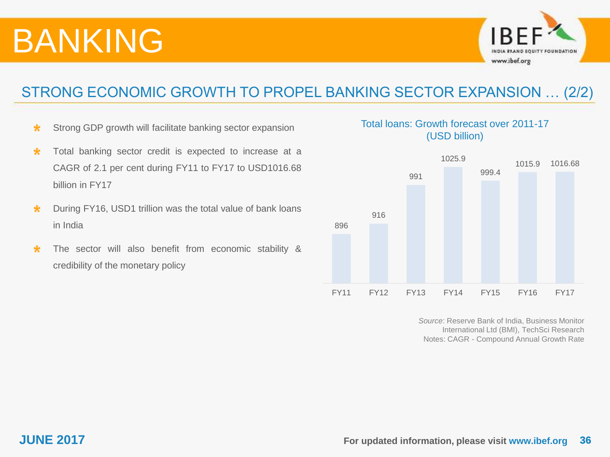

### STRONG ECONOMIC GROWTH TO PROPEL BANKING SECTOR EXPANSION … (2/2)

- $\star$ Strong GDP growth will facilitate banking sector expansion
- Total banking sector credit is expected to increase at a  $\ast$ CAGR of 2.1 per cent during FY11 to FY17 to USD1016.68 billion in FY17
- $\star$ During FY16, USD1 trillion was the total value of bank loans in India
- The sector will also benefit from economic stability &  $\ast$ credibility of the monetary policy

### Total loans: Growth forecast over 2011-17 (USD billion)



*Source*: Reserve Bank of India, Business Monitor International Ltd (BMI), TechSci Research Notes: CAGR - Compound Annual Growth Rate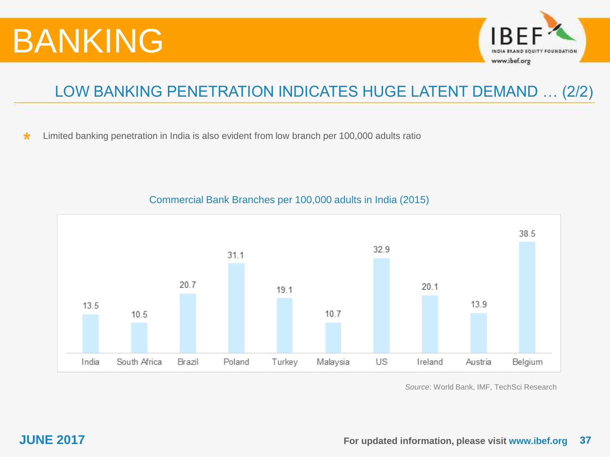

### LOW BANKING PENETRATION INDICATES HUGE LATENT DEMAND … (2/2)

Limited banking penetration in India is also evident from low branch per 100,000 adults ratio  $\star$ 



### Commercial Bank Branches per 100,000 adults in India (2015)

*Source*: World Bank, IMF, TechSci Research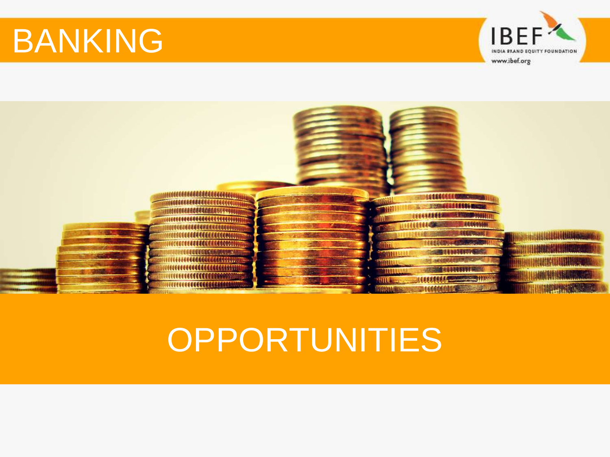

<span id="page-37-0"></span>

# **OPPORTUNITIES**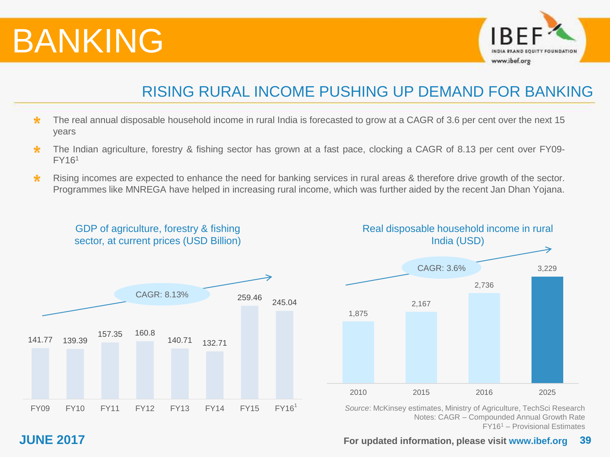

### RISING RURAL INCOME PUSHING UP DEMAND FOR BANKING

- $\star$ The real annual disposable household income in rural India is forecasted to grow at a CAGR of 3.6 per cent over the next 15 years
- The Indian agriculture, forestry & fishing sector has grown at a fast pace, clocking a CAGR of 8.13 per cent over FY09- 宋 FY16<sup>1</sup>
- $\star$ Rising incomes are expected to enhance the need for banking services in rural areas & therefore drive growth of the sector. Programmes like MNREGA have helped in increasing rural income, which was further aided by the recent Jan Dhan Yojana.





*Source*: McKinsey estimates, Ministry of Agriculture, TechSci Research Notes: CAGR – Compounded Annual Growth Rate FY16<sup>1</sup> – Provisional Estimates

### GDP of agriculture, forestry & fishing sector, at current prices (USD Billion)

### **JUNE 2017 39 For updated information, please visit www.ibef.org**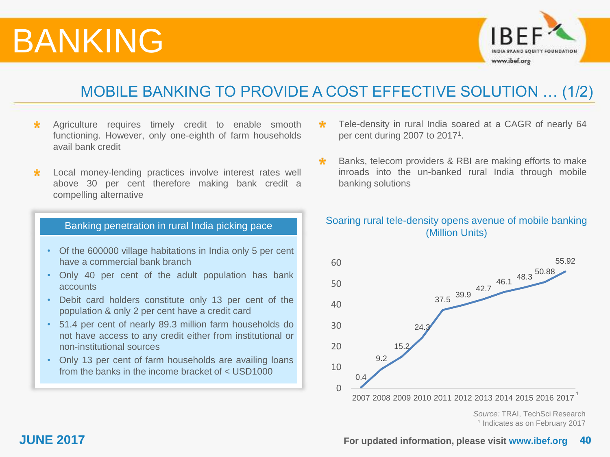

### MOBILE BANKING TO PROVIDE A COST EFFECTIVE SOLUTION … (1/2)

- $\star$ Agriculture requires timely credit to enable smooth functioning. However, only one-eighth of farm households avail bank credit
- Local money-lending practices involve interest rates well × above 30 per cent therefore making bank credit a compelling alternative

### Banking penetration in rural India picking pace

- Of the 600000 village habitations in India only 5 per cent have a commercial bank branch
- Only 40 per cent of the adult population has bank accounts
- Debit card holders constitute only 13 per cent of the population & only 2 per cent have a credit card
- 51.4 per cent of nearly 89.3 million farm households do not have access to any credit either from institutional or non-institutional sources
- Only 13 per cent of farm households are availing loans from the banks in the income bracket of < USD1000
- Tele-density in rural India soared at a CAGR of nearly 64 per cent during 2007 to  $2017<sup>1</sup>$ .
- Banks, telecom providers & RBI are making efforts to make  $\star$ inroads into the un-banked rural India through mobile banking solutions

### Soaring rural tele-density opens avenue of mobile banking (Million Units)



*Source:* TRAI, TechSci Research 1 Indicates as on February 2017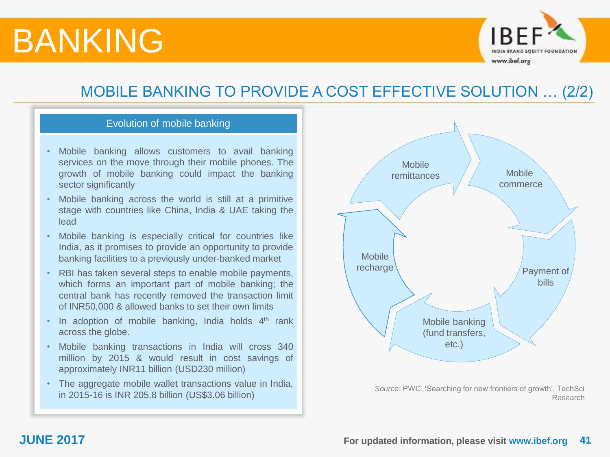

### MOBILE BANKING TO PROVIDE A COST EFFECTIVE SOLUTION … (2/2)

### Evolution of mobile banking

- Mobile banking allows customers to avail banking services on the move through their mobile phones. The growth of mobile banking could impact the banking sector significantly
- Mobile banking across the world is still at a primitive stage with countries like China, India & UAE taking the lead
- Mobile banking is especially critical for countries like India, as it promises to provide an opportunity to provide banking facilities to a previously under-banked market
- RBI has taken several steps to enable mobile payments, which forms an important part of mobile banking; the central bank has recently removed the transaction limit of INR50,000 & allowed banks to set their own limits
- $\cdot$  In adoption of mobile banking, India holds  $4<sup>th</sup>$  rank across the globe.
- Mobile banking transactions in India will cross 340 million by 2015 & would result in cost savings of approximately INR11 billion (USD230 million)
- The aggregate mobile wallet transactions value in India, in 2015-16 is INR 205.8 billion (US\$3.06 billion)



*Source*: PWC, 'Searching for new frontiers of growth', TechSci Research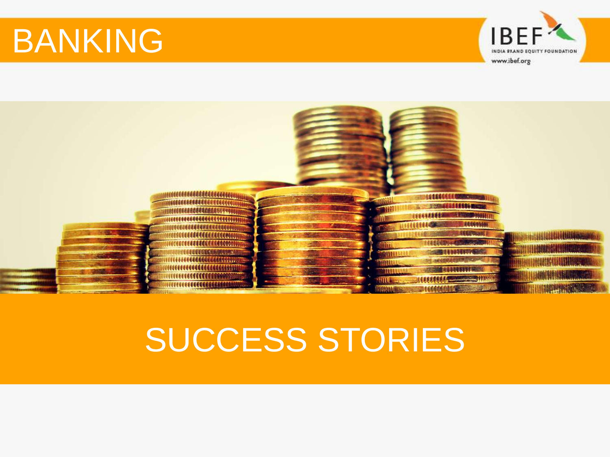

<span id="page-41-0"></span>

## SUCCESS STORIES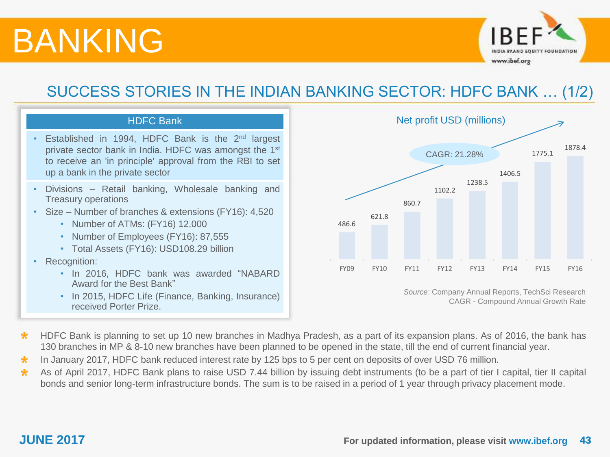

### SUCCESS STORIES IN THE INDIAN BANKING SECTOR: HDFC BANK … (1/2)



- Established in 1994, HDFC Bank is the 2<sup>nd</sup> largest private sector bank in India. HDFC was amongst the 1<sup>st</sup> to receive an 'in principle' approval from the RBI to set up a bank in the private sector
- Divisions Retail banking, Wholesale banking and Treasury operations
- Size Number of branches & extensions (FY16): 4,520
	- Number of ATMs: (FY16) 12,000
	- Number of Employees (FY16): 87,555
	- Total Assets (FY16): USD108.29 billion
- Recognition:
	- In 2016, HDFC bank was awarded "NABARD Award for the Best Bank"
	- In 2015, HDFC Life (Finance, Banking, Insurance) received Porter Prize.



*Source*: Company Annual Reports, TechSci Research CAGR - Compound Annual Growth Rate

- $\star$ HDFC Bank is planning to set up 10 new branches in Madhya Pradesh, as a part of its expansion plans. As of 2016, the bank has 130 branches in MP & 8-10 new branches have been planned to be opened in the state, till the end of current financial year.
- In January 2017, HDFC bank reduced interest rate by 125 bps to 5 per cent on deposits of over USD 76 million. ÷
- As of April 2017, HDFC Bank plans to raise USD 7.44 billion by issuing debt instruments (to be a part of tier I capital, tier II capital  $\star$ bonds and senior long-term infrastructure bonds. The sum is to be raised in a period of 1 year through privacy placement mode.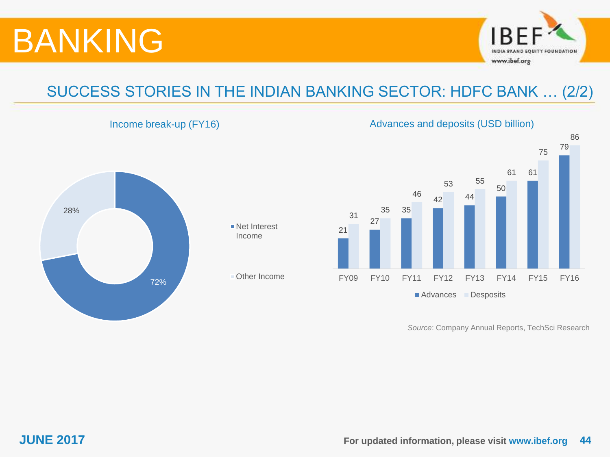





Other Income

21 27 35 42 44 50 61 79 31 35 46 53 55 61 75 86 FY09 FY10 FY11 FY12 FY13 FY14 FY15 FY16 ■ Advances Desposits

*Source*: Company Annual Reports, TechSci Research

Income break-up (FY16) and a set of the Advances and deposits (USD billion)

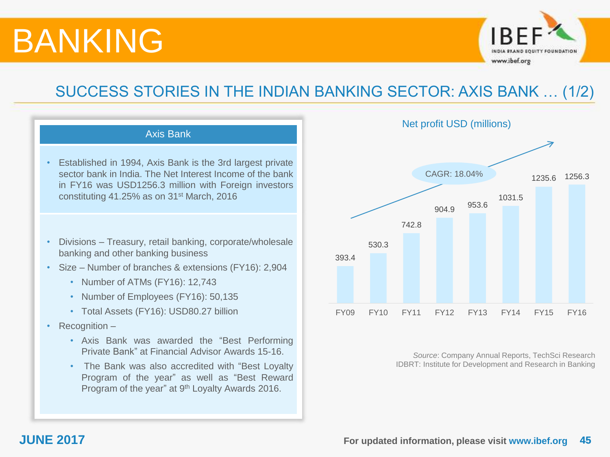

### SUCCESS STORIES IN THE INDIAN BANKING SECTOR: AXIS BANK … (1/2)





*Source*: Company Annual Reports, TechSci Research IDBRT: Institute for Development and Research in Banking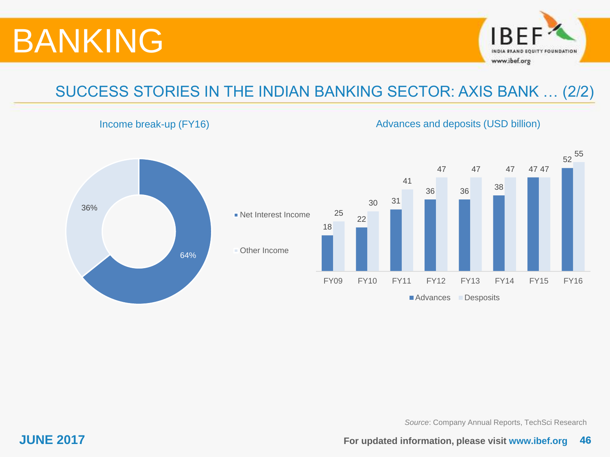

## SUCCESS STORIES IN THE INDIAN BANKING SECTOR: AXIS BANK … (2/2)

### Income break-up (FY16) and the extended of the Advances and deposits (USD billion)



*Source*: Company Annual Reports, TechSci Research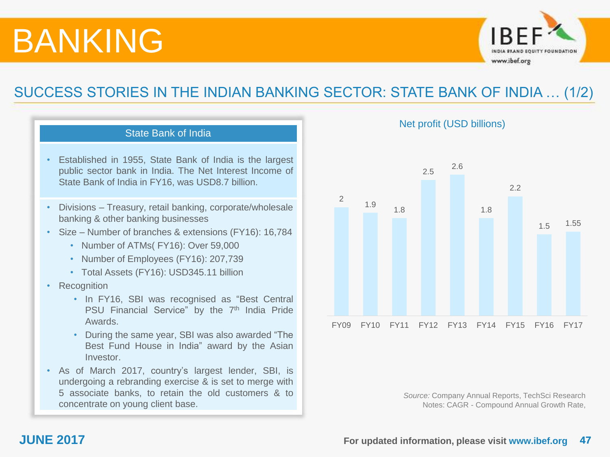

### SUCCESS STORIES IN THE INDIAN BANKING SECTOR: STATE BANK OF INDIA … (1/2)

### State Bank of India

- Established in 1955, State Bank of India is the largest public sector bank in India. The Net Interest Income of State Bank of India in FY16, was USD8.7 billion.
- Divisions Treasury, retail banking, corporate/wholesale banking & other banking businesses
- Size Number of branches & extensions (FY16): 16,784
	- Number of ATMs( FY16): Over 59,000
	- Number of Employees (FY16): 207,739
	- Total Assets (FY16): USD345.11 billion
- Recognition
	- In FY16, SBI was recognised as "Best Central PSU Financial Service" by the 7<sup>th</sup> India Pride Awards.
	- During the same year, SBI was also awarded "The Best Fund House in India" award by the Asian Investor.
- As of March 2017, country's largest lender, SBI, is undergoing a rebranding exercise & is set to merge with 5 associate banks, to retain the old customers & to concentrate on young client base.

Net profit (USD billions)



*Source:* Company Annual Reports, TechSci Research Notes: CAGR - Compound Annual Growth Rate,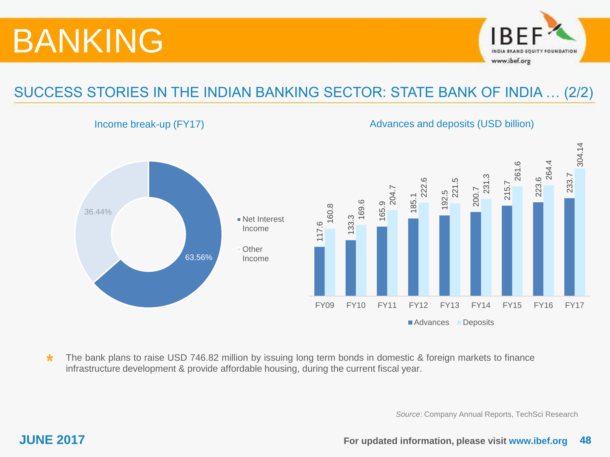

### SUCCESS STORIES IN THE INDIAN BANKING SECTOR: STATE BANK OF INDIA … (2/2)

Income break-up (FY17) and a set of the Advances and deposits (USD billion)



 $\ast$ The bank plans to raise USD 746.82 million by issuing long term bonds in domestic & foreign markets to finance infrastructure development & provide affordable housing, during the current fiscal year.

*Source*: Company Annual Reports, TechSci Research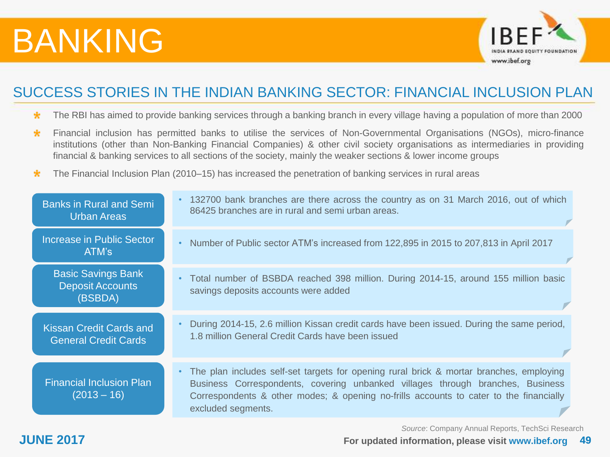

### SUCCESS STORIES IN THE INDIAN BANKING SECTOR: FINANCIAL INCLUSION PLAN

- The RBI has aimed to provide banking services through a banking branch in every village having a population of more than 2000  $\ast$
- Financial inclusion has permitted banks to utilise the services of Non-Governmental Organisations (NGOs), micro-finance  $\star$ institutions (other than Non-Banking Financial Companies) & other civil society organisations as intermediaries in providing financial & banking services to all sections of the society, mainly the weaker sections & lower income groups
- The Financial Inclusion Plan (2010–15) has increased the penetration of banking services in rural areas  $\star$

| <b>Banks in Rural and Semi</b>                                                                                                                                                                                  | • 132700 bank branches are there across the country as on 31 March 2016, out of which                                                                                                                                                                                                                  |
|-----------------------------------------------------------------------------------------------------------------------------------------------------------------------------------------------------------------|--------------------------------------------------------------------------------------------------------------------------------------------------------------------------------------------------------------------------------------------------------------------------------------------------------|
| Urban Areas                                                                                                                                                                                                     | 86425 branches are in rural and semi urban areas.                                                                                                                                                                                                                                                      |
| Increase in Public Sector                                                                                                                                                                                       | Number of Public sector ATM's increased from 122,895 in 2015 to 207,813 in April 2017                                                                                                                                                                                                                  |
| ATM's                                                                                                                                                                                                           | $\bullet$                                                                                                                                                                                                                                                                                              |
| <b>Basic Savings Bank</b>                                                                                                                                                                                       | Total number of BSBDA reached 398 million. During 2014-15, around 155 million basic                                                                                                                                                                                                                    |
| <b>Deposit Accounts</b>                                                                                                                                                                                         | $\bullet$                                                                                                                                                                                                                                                                                              |
| (BSBDA)                                                                                                                                                                                                         | savings deposits accounts were added                                                                                                                                                                                                                                                                   |
| During 2014-15, 2.6 million Kissan credit cards have been issued. During the same period,<br><b>Kissan Credit Cards and</b><br>1.8 million General Credit Cards have been issued<br><b>General Credit Cards</b> |                                                                                                                                                                                                                                                                                                        |
| <b>Financial Inclusion Plan</b><br>$(2013 - 16)$                                                                                                                                                                | The plan includes self-set targets for opening rural brick & mortar branches, employing<br>$\bullet$<br>Business Correspondents, covering unbanked villages through branches, Business<br>Correspondents & other modes; & opening no-frills accounts to cater to the financially<br>excluded segments. |

*Source*: Company Annual Reports, TechSci Research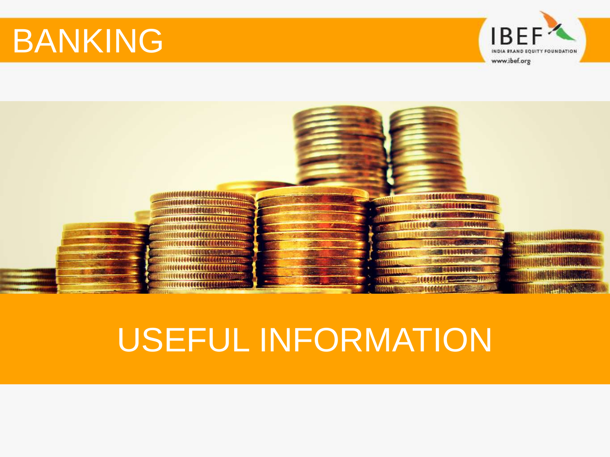

<span id="page-49-0"></span>

## USEFUL INFORMATION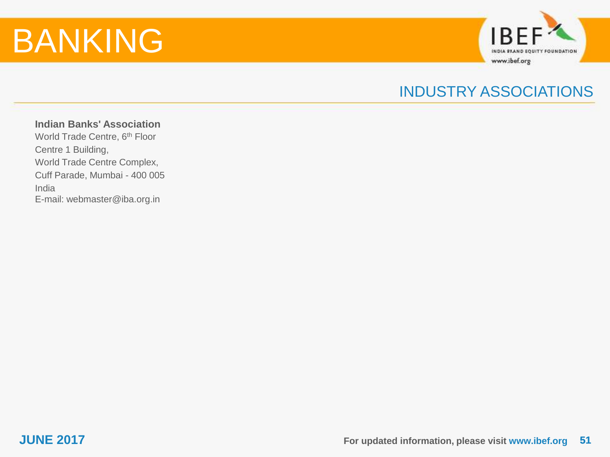

### INDUSTRY ASSOCIATIONS

**Indian Banks' Association** World Trade Centre, 6<sup>th</sup> Floor Centre 1 Building, World Trade Centre Complex, Cuff Parade, Mumbai - 400 005 India E-mail: webmaster@iba.org.in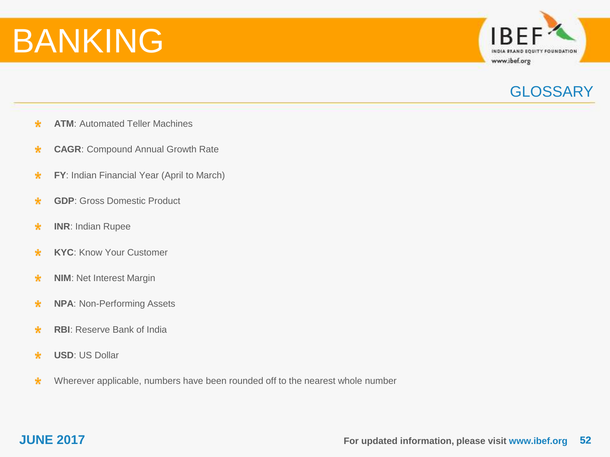

### **GLOSSARY**

- **ATM**: Automated Teller Machines  $\star$
- **CAGR**: Compound Annual Growth Rate  $\ast$
- **FY**: Indian Financial Year (April to March) \*
- **GDP**: Gross Domestic Product  $\star$
- **INR**: Indian Rupee \*
- **KYC**: Know Your Customer  $\star$
- **NIM**: Net Interest Margin \*
- $\star$ **NPA**: Non-Performing Assets
- **RBI**: Reserve Bank of India  $\star$
- $\star$ **USD**: US Dollar
- Wherever applicable, numbers have been rounded off to the nearest whole number \*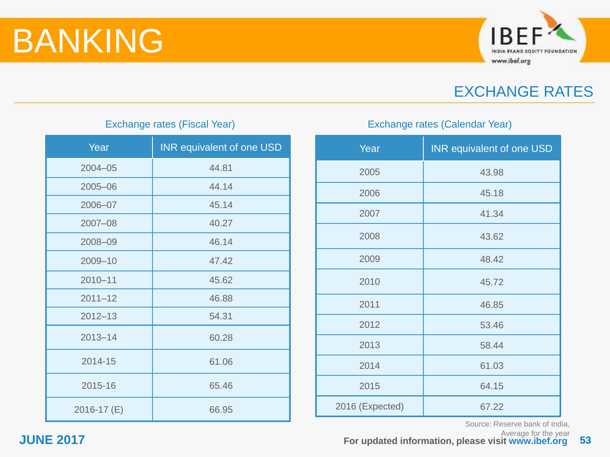

### EXCHANGE RATES

### Exchange rates (Fiscal Year)

| Year        | <b>INR equivalent of one USD</b> |
|-------------|----------------------------------|
| $2004 - 05$ | 44.81                            |
| 2005-06     | 44.14                            |
| 2006-07     | 45.14                            |
| 2007-08     | 40.27                            |
| 2008-09     | 46.14                            |
| 2009-10     | 47.42                            |
| $2010 - 11$ | 45.62                            |
| $2011 - 12$ | 46.88                            |
| $2012 - 13$ | 54.31                            |
| $2013 - 14$ | 60.28                            |
| 2014-15     | 61.06                            |
| 2015-16     | 65.46                            |
| 2016-17 (E) | 66.95                            |

### Exchange rates (Calendar Year)

| Year            | <b>INR equivalent of one USD</b> |
|-----------------|----------------------------------|
| 2005            | 43.98                            |
| 2006            | 45.18                            |
| 2007            | 41.34                            |
| 2008            | 43.62                            |
| 2009            | 48.42                            |
| 2010            | 45.72                            |
| 2011            | 46.85                            |
| 2012            | 53.46                            |
| 2013            | 58.44                            |
| 2014            | 61.03                            |
| 2015            | 64.15                            |
| 2016 (Expected) | 67.22                            |

Source: Reserve bank of India,

Average for the year